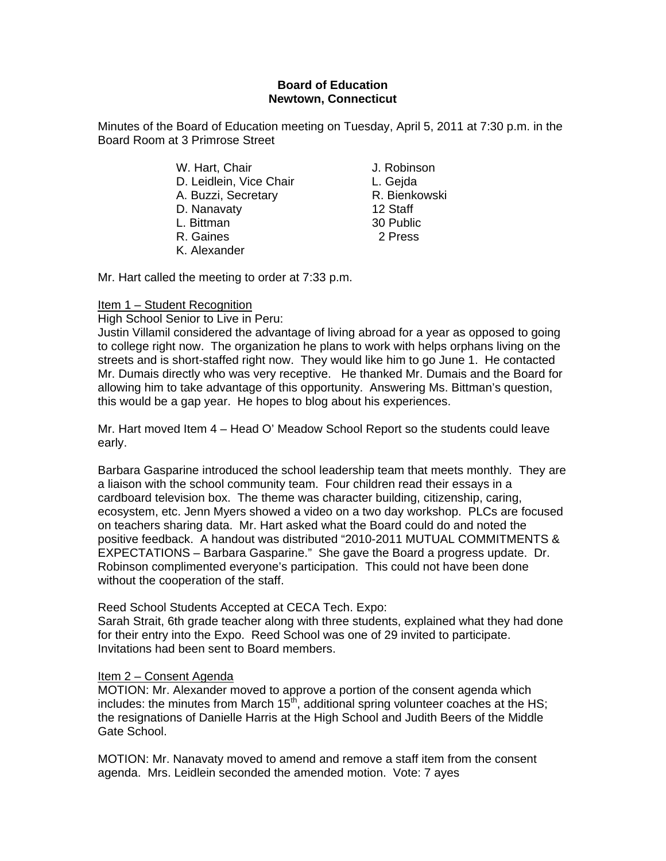# **Board of Education Newtown, Connecticut**

Minutes of the Board of Education meeting on Tuesday, April 5, 2011 at 7:30 p.m. in the Board Room at 3 Primrose Street

- W. Hart, Chair **J. Robinson** D. Leidlein, Vice Chair L. Gejda A. Buzzi, Secretary **R. Bienkowski** D. Nanavaty 12 Staff L. Bittman 30 Public R. Gaines 2 Press K. Alexander
- 

Mr. Hart called the meeting to order at 7:33 p.m.

# Item 1 – Student Recognition

High School Senior to Live in Peru:

Justin Villamil considered the advantage of living abroad for a year as opposed to going to college right now. The organization he plans to work with helps orphans living on the streets and is short-staffed right now. They would like him to go June 1. He contacted Mr. Dumais directly who was very receptive. He thanked Mr. Dumais and the Board for allowing him to take advantage of this opportunity. Answering Ms. Bittman's question, this would be a gap year. He hopes to blog about his experiences.

Mr. Hart moved Item 4 – Head O' Meadow School Report so the students could leave early.

Barbara Gasparine introduced the school leadership team that meets monthly. They are a liaison with the school community team. Four children read their essays in a cardboard television box. The theme was character building, citizenship, caring, ecosystem, etc. Jenn Myers showed a video on a two day workshop. PLCs are focused on teachers sharing data. Mr. Hart asked what the Board could do and noted the positive feedback. A handout was distributed "2010-2011 MUTUAL COMMITMENTS & EXPECTATIONS – Barbara Gasparine." She gave the Board a progress update. Dr. Robinson complimented everyone's participation. This could not have been done without the cooperation of the staff.

### Reed School Students Accepted at CECA Tech. Expo:

Sarah Strait, 6th grade teacher along with three students, explained what they had done for their entry into the Expo. Reed School was one of 29 invited to participate. Invitations had been sent to Board members.

### Item 2 – Consent Agenda

MOTION: Mr. Alexander moved to approve a portion of the consent agenda which includes: the minutes from March  $15<sup>th</sup>$ , additional spring volunteer coaches at the HS; the resignations of Danielle Harris at the High School and Judith Beers of the Middle Gate School.

MOTION: Mr. Nanavaty moved to amend and remove a staff item from the consent agenda. Mrs. Leidlein seconded the amended motion. Vote: 7 ayes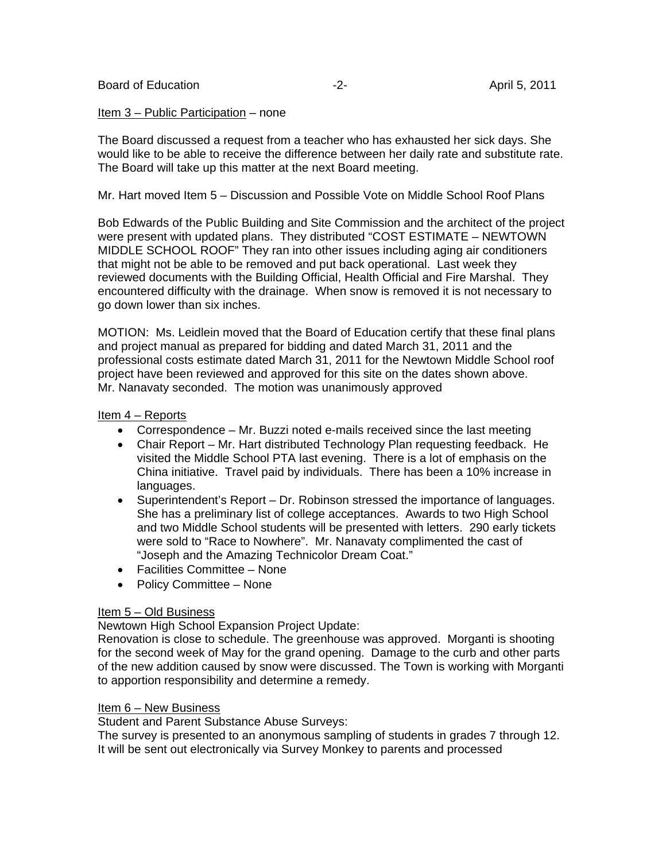#### Item 3 – Public Participation – none

The Board discussed a request from a teacher who has exhausted her sick days. She would like to be able to receive the difference between her daily rate and substitute rate. The Board will take up this matter at the next Board meeting.

Mr. Hart moved Item 5 – Discussion and Possible Vote on Middle School Roof Plans

Bob Edwards of the Public Building and Site Commission and the architect of the project were present with updated plans. They distributed "COST ESTIMATE – NEWTOWN MIDDLE SCHOOL ROOF" They ran into other issues including aging air conditioners that might not be able to be removed and put back operational. Last week they reviewed documents with the Building Official, Health Official and Fire Marshal. They encountered difficulty with the drainage. When snow is removed it is not necessary to go down lower than six inches.

MOTION: Ms. Leidlein moved that the Board of Education certify that these final plans and project manual as prepared for bidding and dated March 31, 2011 and the professional costs estimate dated March 31, 2011 for the Newtown Middle School roof project have been reviewed and approved for this site on the dates shown above. Mr. Nanavaty seconded. The motion was unanimously approved

### Item 4 – Reports

- Correspondence Mr. Buzzi noted e-mails received since the last meeting
- Chair Report Mr. Hart distributed Technology Plan requesting feedback. He visited the Middle School PTA last evening. There is a lot of emphasis on the China initiative. Travel paid by individuals. There has been a 10% increase in languages.
- Superintendent's Report Dr. Robinson stressed the importance of languages. She has a preliminary list of college acceptances. Awards to two High School and two Middle School students will be presented with letters. 290 early tickets were sold to "Race to Nowhere". Mr. Nanavaty complimented the cast of "Joseph and the Amazing Technicolor Dream Coat."
- Facilities Committee None
- Policy Committee None

### Item 5 – Old Business

Newtown High School Expansion Project Update:

Renovation is close to schedule. The greenhouse was approved. Morganti is shooting for the second week of May for the grand opening. Damage to the curb and other parts of the new addition caused by snow were discussed. The Town is working with Morganti to apportion responsibility and determine a remedy.

### Item 6 – New Business

Student and Parent Substance Abuse Surveys:

The survey is presented to an anonymous sampling of students in grades 7 through 12. It will be sent out electronically via Survey Monkey to parents and processed